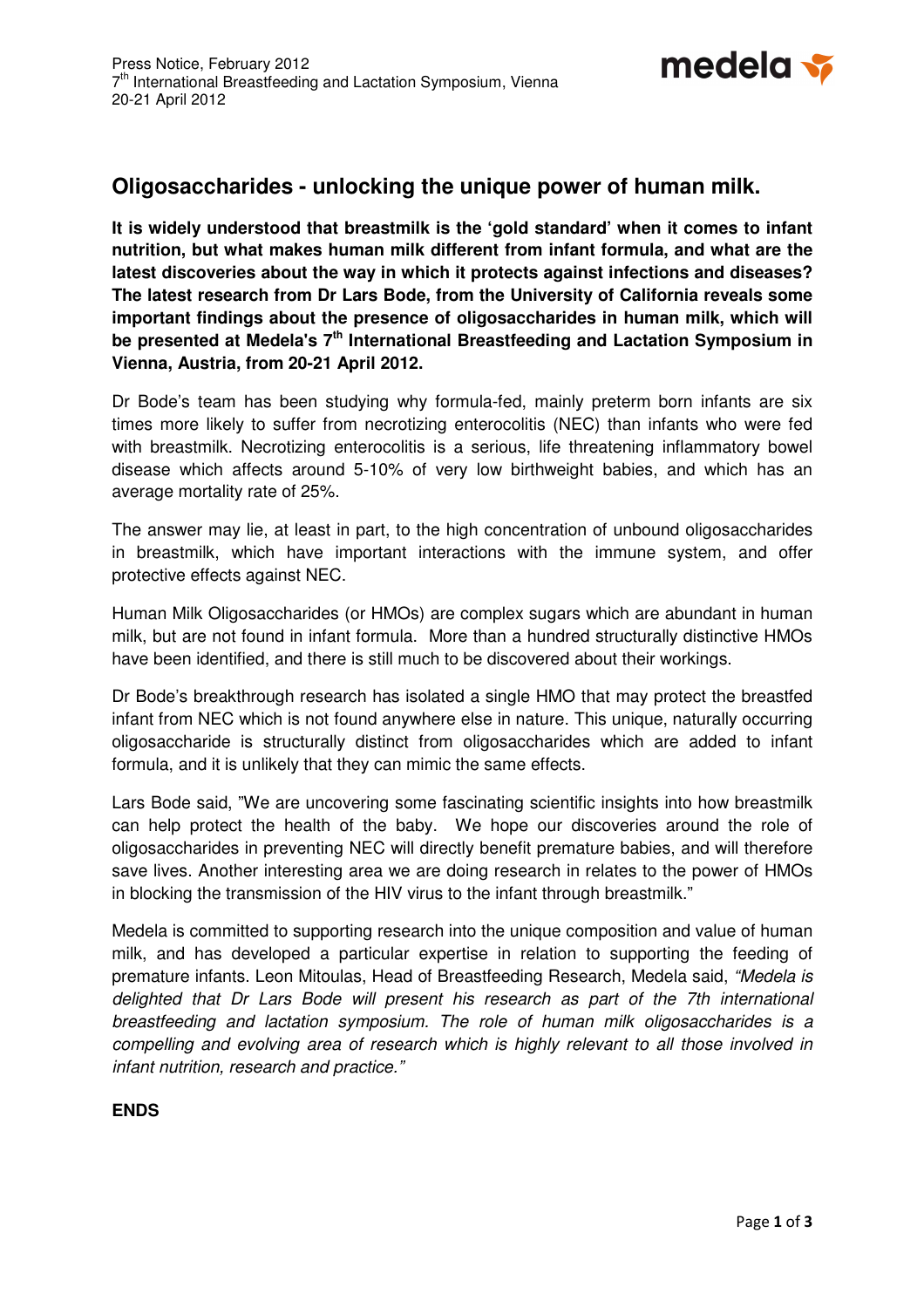

# **Oligosaccharides - unlocking the unique power of human milk.**

**It is widely understood that breastmilk is the 'gold standard' when it comes to infant nutrition, but what makes human milk different from infant formula, and what are the latest discoveries about the way in which it protects against infections and diseases? The latest research from Dr Lars Bode, from the University of California reveals some important findings about the presence of oligosaccharides in human milk, which will be presented at Medela's 7th International Breastfeeding and Lactation Symposium in Vienna, Austria, from 20-21 April 2012.** 

Dr Bode's team has been studying why formula-fed, mainly preterm born infants are six times more likely to suffer from necrotizing enterocolitis (NEC) than infants who were fed with breastmilk. Necrotizing enterocolitis is a serious, life threatening inflammatory bowel disease which affects around 5-10% of very low birthweight babies, and which has an average mortality rate of 25%.

The answer may lie, at least in part, to the high concentration of unbound oligosaccharides in breastmilk, which have important interactions with the immune system, and offer protective effects against NEC.

Human Milk Oligosaccharides (or HMOs) are complex sugars which are abundant in human milk, but are not found in infant formula. More than a hundred structurally distinctive HMOs have been identified, and there is still much to be discovered about their workings.

Dr Bode's breakthrough research has isolated a single HMO that may protect the breastfed infant from NEC which is not found anywhere else in nature. This unique, naturally occurring oligosaccharide is structurally distinct from oligosaccharides which are added to infant formula, and it is unlikely that they can mimic the same effects.

Lars Bode said, "We are uncovering some fascinating scientific insights into how breastmilk can help protect the health of the baby. We hope our discoveries around the role of oligosaccharides in preventing NEC will directly benefit premature babies, and will therefore save lives. Another interesting area we are doing research in relates to the power of HMOs in blocking the transmission of the HIV virus to the infant through breastmilk."

Medela is committed to supporting research into the unique composition and value of human milk, and has developed a particular expertise in relation to supporting the feeding of premature infants. Leon Mitoulas, Head of Breastfeeding Research, Medela said, "Medela is delighted that Dr Lars Bode will present his research as part of the 7th international breastfeeding and lactation symposium. The role of human milk oligosaccharides is a compelling and evolving area of research which is highly relevant to all those involved in infant nutrition, research and practice."

## **ENDS**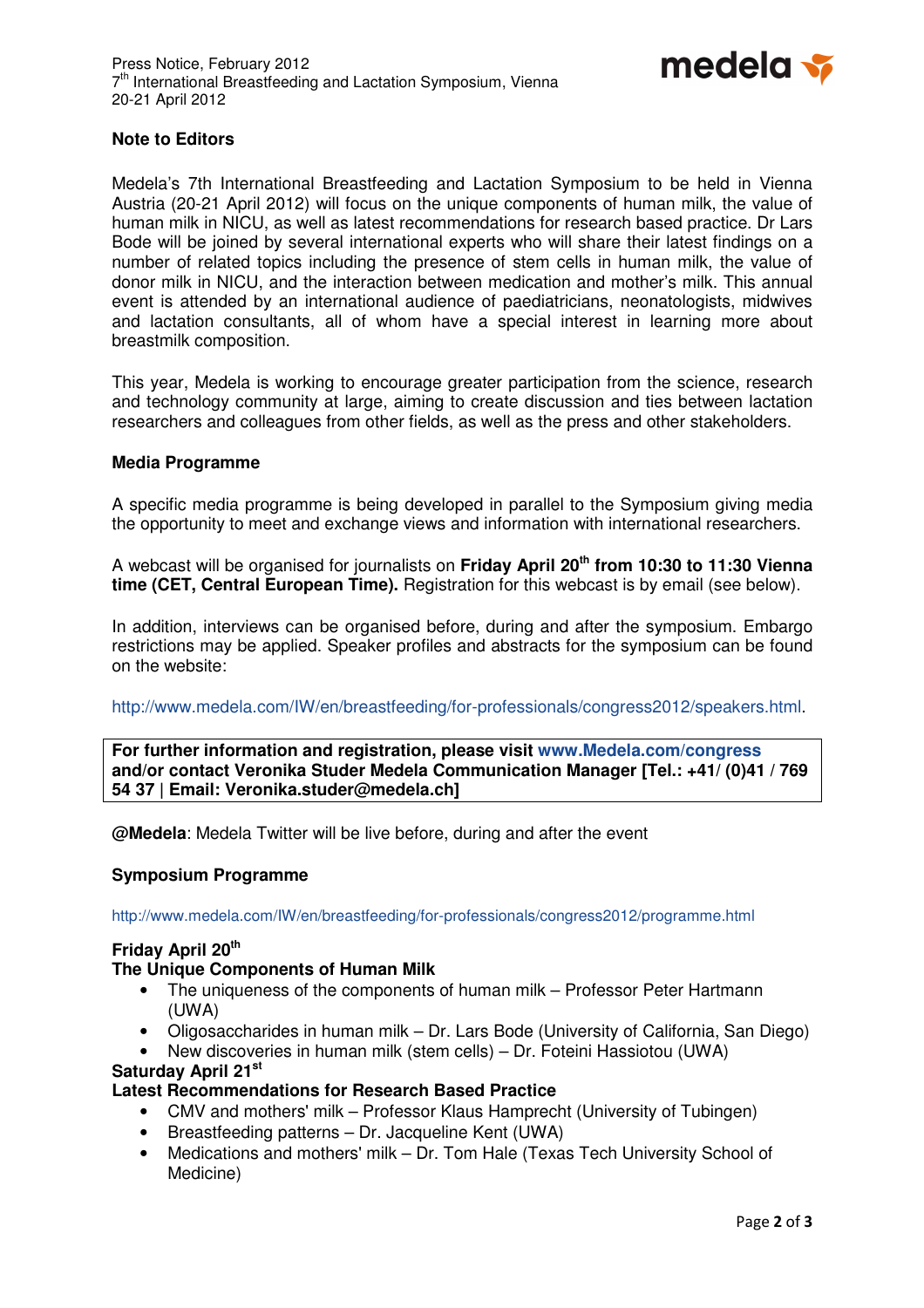

## **Note to Editors**

Medela's 7th International Breastfeeding and Lactation Symposium to be held in Vienna Austria (20-21 April 2012) will focus on the unique components of human milk, the value of human milk in NICU, as well as latest recommendations for research based practice. Dr Lars Bode will be joined by several international experts who will share their latest findings on a number of related topics including the presence of stem cells in human milk, the value of donor milk in NICU, and the interaction between medication and mother's milk. This annual event is attended by an international audience of paediatricians, neonatologists, midwives and lactation consultants, all of whom have a special interest in learning more about breastmilk composition.

This year, Medela is working to encourage greater participation from the science, research and technology community at large, aiming to create discussion and ties between lactation researchers and colleagues from other fields, as well as the press and other stakeholders.

### **Media Programme**

A specific media programme is being developed in parallel to the Symposium giving media the opportunity to meet and exchange views and information with international researchers.

A webcast will be organised for journalists on **Friday April 20th from 10:30 to 11:30 Vienna time (CET, Central European Time).** Registration for this webcast is by email (see below).

In addition, interviews can be organised before, during and after the symposium. Embargo restrictions may be applied. Speaker profiles and abstracts for the symposium can be found on the website:

http://www.medela.com/IW/en/breastfeeding/for-professionals/congress2012/speakers.html.

**For further information and registration, please visit www.Medela.com/congress and/or contact Veronika Studer Medela Communication Manager [Tel.: +41/ (0)41 / 769 54 37 | Email: Veronika.studer@medela.ch]** 

**@Medela**: Medela Twitter will be live before, during and after the event

#### **Symposium Programme**

http://www.medela.com/IW/en/breastfeeding/for-professionals/congress2012/programme.html

## **Friday April 20th**

#### **The Unique Components of Human Milk**

- The uniqueness of the components of human milk Professor Peter Hartmann (UWA)
- Oligosaccharides in human milk Dr. Lars Bode (University of California, San Diego)
- New discoveries in human milk (stem cells) Dr. Foteini Hassiotou (UWA)

## **Saturday April 21st**

## **Latest Recommendations for Research Based Practice**

- CMV and mothers' milk Professor Klaus Hamprecht (University of Tubingen)
- Breastfeeding patterns Dr. Jacqueline Kent (UWA)
- Medications and mothers' milk Dr. Tom Hale (Texas Tech University School of Medicine)